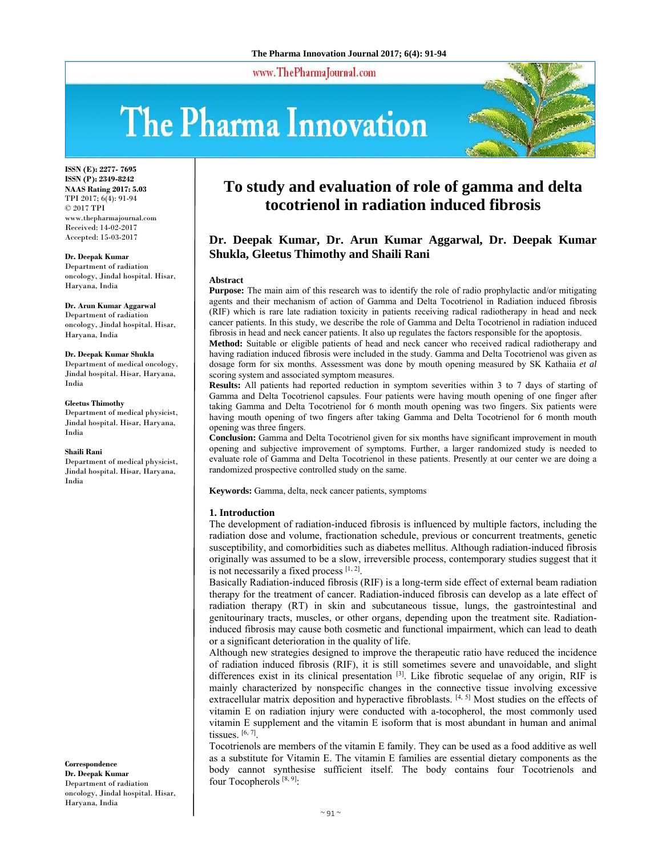www.ThePharmaJournal.com

# The Pharma Innovation



**ISSN (E): 2277- 7695 ISSN (P): 2349-8242 NAAS Rating 2017: 5.03** TPI 2017; 6(4): 91-94 © 2017 TPI www.thepharmajournal.com Received: 14-02-2017 Accepted: 15-03-2017

**Dr. Deepak Kumar** 

Department of radiation oncology, Jindal hospital. Hisar, Haryana, India

#### **Dr. Arun Kumar Aggarwal**

Department of radiation oncology, Jindal hospital. Hisar, Haryana, India

#### **Dr. Deepak Kumar Shukla**

Department of medical oncology, Jindal hospital. Hisar, Haryana, India

#### **Gleetus Thimothy**

Department of medical physicist, Jindal hospital. Hisar, Haryana, India

#### **Shaili Rani**

Department of medical physicist, Jindal hospital. Hisar, Haryana, India

**Correspondence Dr. Deepak Kumar**  Department of radiation oncology, Jindal hospital. Hisar, Haryana, India

## **To study and evaluation of role of gamma and delta tocotrienol in radiation induced fibrosis**

### **Dr. Deepak Kumar, Dr. Arun Kumar Aggarwal, Dr. Deepak Kumar Shukla, Gleetus Thimothy and Shaili Rani**

#### **Abstract**

**Purpose:** The main aim of this research was to identify the role of radio prophylactic and/or mitigating agents and their mechanism of action of Gamma and Delta Tocotrienol in Radiation induced fibrosis (RIF) which is rare late radiation toxicity in patients receiving radical radiotherapy in head and neck cancer patients. In this study, we describe the role of Gamma and Delta Tocotrienol in radiation induced fibrosis in head and neck cancer patients. It also up regulates the factors responsible for the apoptosis.

**Method:** Suitable or eligible patients of head and neck cancer who received radical radiotherapy and having radiation induced fibrosis were included in the study. Gamma and Delta Tocotrienol was given as dosage form for six months. Assessment was done by mouth opening measured by SK Kathaiia *et al* scoring system and associated symptom measures.

**Results:** All patients had reported reduction in symptom severities within 3 to 7 days of starting of Gamma and Delta Tocotrienol capsules. Four patients were having mouth opening of one finger after taking Gamma and Delta Tocotrienol for 6 month mouth opening was two fingers. Six patients were having mouth opening of two fingers after taking Gamma and Delta Tocotrienol for 6 month mouth opening was three fingers.

**Conclusion:** Gamma and Delta Tocotrienol given for six months have significant improvement in mouth opening and subjective improvement of symptoms. Further, a larger randomized study is needed to evaluate role of Gamma and Delta Tocotrienol in these patients. Presently at our center we are doing a randomized prospective controlled study on the same.

**Keywords:** Gamma, delta, neck cancer patients, symptoms

#### **1. Introduction**

The development of radiation-induced fibrosis is influenced by multiple factors, including the radiation dose and volume, fractionation schedule, previous or concurrent treatments, genetic susceptibility, and comorbidities such as diabetes mellitus. Although radiation-induced fibrosis originally was assumed to be a slow, irreversible process, contemporary studies suggest that it is not necessarily a fixed process  $[1, 2]$ .

Basically Radiation-induced fibrosis (RIF) is a long-term side effect of external beam radiation therapy for the treatment of cancer. Radiation-induced fibrosis can develop as a late effect of radiation therapy (RT) in skin and subcutaneous tissue, lungs, the gastrointestinal and genitourinary tracts, muscles, or other organs, depending upon the treatment site. Radiationinduced fibrosis may cause both cosmetic and functional impairment, which can lead to death or a significant deterioration in the quality of life.

Although new strategies designed to improve the therapeutic ratio have reduced the incidence of radiation induced fibrosis (RIF), it is still sometimes severe and unavoidable, and slight differences exist in its clinical presentation <sup>[3]</sup>. Like fibrotic sequelae of any origin, RIF is mainly characterized by nonspecific changes in the connective tissue involving excessive extracellular matrix deposition and hyperactive fibroblasts. [4, 5] Most studies on the effects of vitamin E on radiation injury were conducted with a-tocopherol, the most commonly used vitamin E supplement and the vitamin E isoform that is most abundant in human and animal tissues. [6, 7].

Tocotrienols are members of the vitamin E family. They can be used as a food additive as well as a substitute for Vitamin E. The vitamin E families are essential dietary components as the body cannot synthesise sufficient itself. The body contains four Tocotrienols and four Tocopherols  $[8, 9]$ :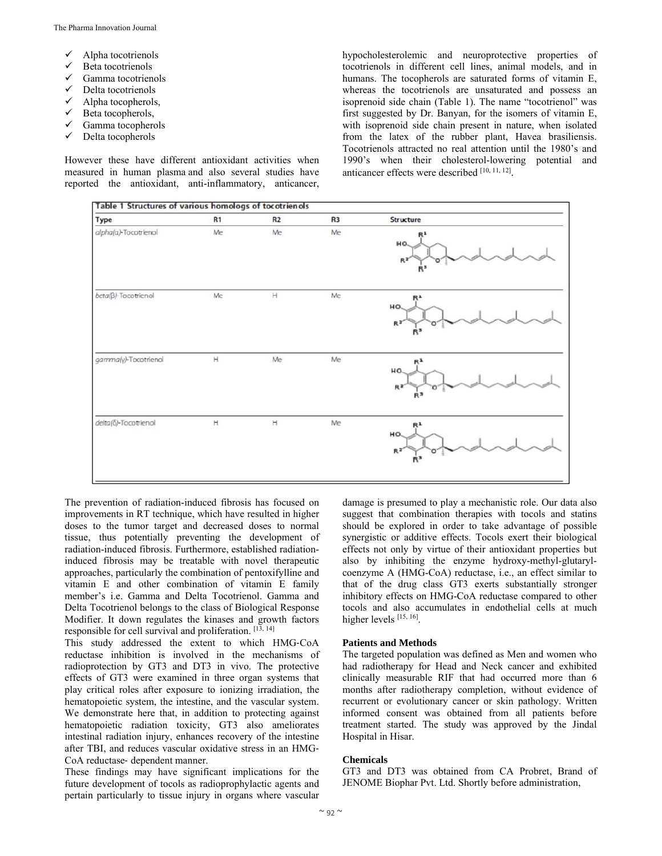- Alpha tocotrienols
- Beta tocotrienols
- $\checkmark$  Gamma tocotrienols
- Delta tocotrienols
- $\checkmark$  Alpha tocopherols,
- $\checkmark$  Beta tocopherols,
- Gamma tocopherols
- $\checkmark$  Delta tocopherols

However these have different antioxidant activities when measured in human plasma and also several studies have reported the antioxidant, anti-inflammatory, anticancer, hypocholesterolemic and neuroprotective properties of tocotrienols in different cell lines, animal models, and in humans. The tocopherols are saturated forms of vitamin E, whereas the tocotrienols are unsaturated and possess an isoprenoid side chain (Table 1). The name "tocotrienol" was first suggested by Dr. Banyan, for the isomers of vitamin E, with isoprenoid side chain present in nature, when isolated from the latex of the rubber plant, Havea brasiliensis. Tocotrienols attracted no real attention until the 1980's and 1990's when their cholesterol-lowering potential and anticancer effects were described [10, 11, 12].



The prevention of radiation-induced fibrosis has focused on improvements in RT technique, which have resulted in higher doses to the tumor target and decreased doses to normal tissue, thus potentially preventing the development of radiation-induced fibrosis. Furthermore, established radiationinduced fibrosis may be treatable with novel therapeutic approaches, particularly the combination of pentoxifylline and vitamin E and other combination of vitamin E family member's i.e. Gamma and Delta Tocotrienol. Gamma and Delta Tocotrienol belongs to the class of Biological Response Modifier. It down regulates the kinases and growth factors responsible for cell survival and proliferation. [13, 14]

This study addressed the extent to which HMG‐CoA reductase inhibition is involved in the mechanisms of radioprotection by GT3 and DT3 in vivo. The protective effects of GT3 were examined in three organ systems that play critical roles after exposure to ionizing irradiation, the hematopoietic system, the intestine, and the vascular system. We demonstrate here that, in addition to protecting against hematopoietic radiation toxicity, GT3 also ameliorates intestinal radiation injury, enhances recovery of the intestine after TBI, and reduces vascular oxidative stress in an HMG‐ CoA reductase‐ dependent manner.

These findings may have significant implications for the future development of tocols as radioprophylactic agents and pertain particularly to tissue injury in organs where vascular

damage is presumed to play a mechanistic role. Our data also suggest that combination therapies with tocols and statins should be explored in order to take advantage of possible synergistic or additive effects. Tocols exert their biological effects not only by virtue of their antioxidant properties but also by inhibiting the enzyme hydroxy-methyl-glutarylcoenzyme A (HMG-CoA) reductase, i.e., an effect similar to that of the drug class GT3 exerts substantially stronger inhibitory effects on HMG-CoA reductase compared to other tocols and also accumulates in endothelial cells at much higher levels [15, 16].

#### **Patients and Methods**

The targeted population was defined as Men and women who had radiotherapy for Head and Neck cancer and exhibited clinically measurable RIF that had occurred more than 6 months after radiotherapy completion, without evidence of recurrent or evolutionary cancer or skin pathology. Written informed consent was obtained from all patients before treatment started. The study was approved by the Jindal Hospital in Hisar.

#### **Chemicals**

GT3 and DT3 was obtained from CA Probret, Brand of JENOME Biophar Pvt. Ltd. Shortly before administration,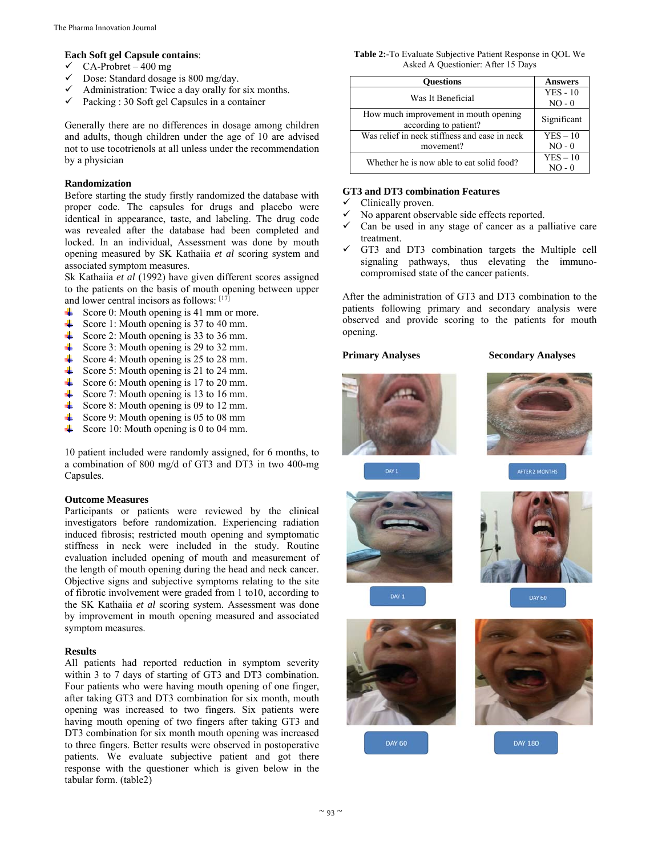#### **Each Soft gel Capsule contains**:

- $\checkmark$  CA-Probret 400 mg
- $\checkmark$  Dose: Standard dosage is 800 mg/day.
- $\checkmark$  Administration: Twice a day orally for six months.
- $\checkmark$  Packing : 30 Soft gel Capsules in a container

Generally there are no differences in dosage among children and adults, though children under the age of 10 are advised not to use tocotrienols at all unless under the recommendation by a physician

#### **Randomization**

Before starting the study firstly randomized the database with proper code. The capsules for drugs and placebo were identical in appearance, taste, and labeling. The drug code was revealed after the database had been completed and locked. In an individual, Assessment was done by mouth opening measured by SK Kathaiia *et al* scoring system and associated symptom measures.

Sk Kathaiia *et al* (1992) have given different scores assigned to the patients on the basis of mouth opening between upper and lower central incisors as follows: [17]

- ₩. Score 0: Mouth opening is 41 mm or more.
- Score 1: Mouth opening is 37 to 40 mm.
- Score 2: Mouth opening is 33 to 36 mm.
- Score 3: Mouth opening is 29 to 32 mm.
- ₩. Score 4: Mouth opening is 25 to 28 mm.
- ₩. Score 5: Mouth opening is 21 to 24 mm.
- ₩. Score 6: Mouth opening is 17 to 20 mm.
- ₩. Score 7: Mouth opening is 13 to 16 mm.
- ₩. Score 8: Mouth opening is 09 to 12 mm.
- ₩. Score 9: Mouth opening is 05 to 08 mm
- 41 Score 10: Mouth opening is 0 to 04 mm.

10 patient included were randomly assigned, for 6 months, to a combination of 800 mg/d of GT3 and DT3 in two 400-mg Capsules.

#### **Outcome Measures**

Participants or patients were reviewed by the clinical investigators before randomization. Experiencing radiation induced fibrosis; restricted mouth opening and symptomatic stiffness in neck were included in the study. Routine evaluation included opening of mouth and measurement of the length of mouth opening during the head and neck cancer. Objective signs and subjective symptoms relating to the site of fibrotic involvement were graded from 1 to10, according to the SK Kathaiia *et al* scoring system. Assessment was done by improvement in mouth opening measured and associated symptom measures.

#### **Results**

All patients had reported reduction in symptom severity within 3 to 7 days of starting of GT3 and DT3 combination. Four patients who were having mouth opening of one finger, after taking GT3 and DT3 combination for six month, mouth opening was increased to two fingers. Six patients were having mouth opening of two fingers after taking GT3 and DT3 combination for six month mouth opening was increased to three fingers. Better results were observed in postoperative patients. We evaluate subjective patient and got there response with the questioner which is given below in the tabular form. (table2)

**Table 2:-**To Evaluate Subjective Patient Response in QOL We Asked A Questionier: After 15 Days

| <b>Ouestions</b>                                               | <b>Answers</b>         |
|----------------------------------------------------------------|------------------------|
| Was It Beneficial                                              | $YES - 10$<br>$NO - 0$ |
| How much improvement in mouth opening<br>according to patient? | Significant            |
| Was relief in neck stiffness and ease in neck                  | $YES - 10$             |
| movement?                                                      | $NO - 0$               |
| Whether he is now able to eat solid food?                      | $YES - 10$             |

#### **GT3 and DT3 combination Features**

- Clinically proven.
- No apparent observable side effects reported.
- $\checkmark$  Can be used in any stage of cancer as a palliative care treatment.
- GT3 and DT3 combination targets the Multiple cell signaling pathways, thus elevating the immunocompromised state of the cancer patients.

After the administration of GT3 and DT3 combination to the patients following primary and secondary analysis were observed and provide scoring to the patients for mouth opening.

#### **Primary Analyses Secondary Analyses**





AFTER 2 MONTHS



DAY 1





**DAY 60** 



**DAY 180**